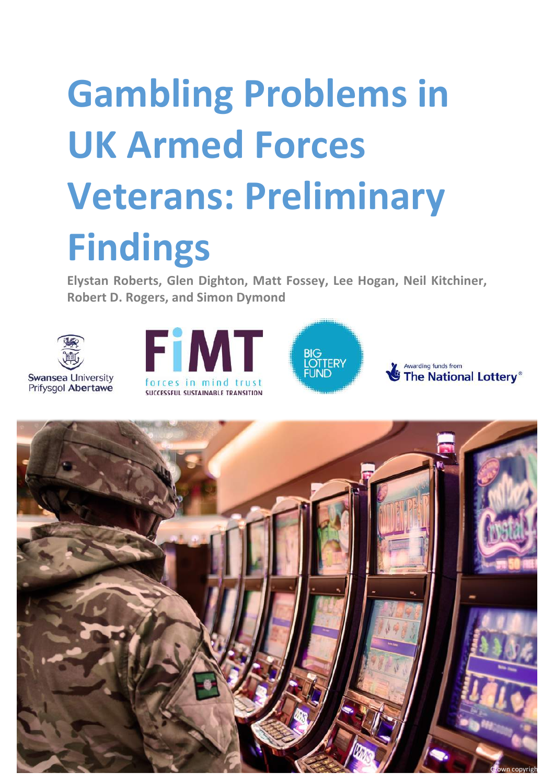# **Gambling Problems in UK Armed Forces Veterans: Preliminary Findings**

Elystan Roberts, Glen Dighton, Matt Fossey, Lee Hogan, Neil Kitchiner, **Robert D. Rogers, and Simon Dymond** 









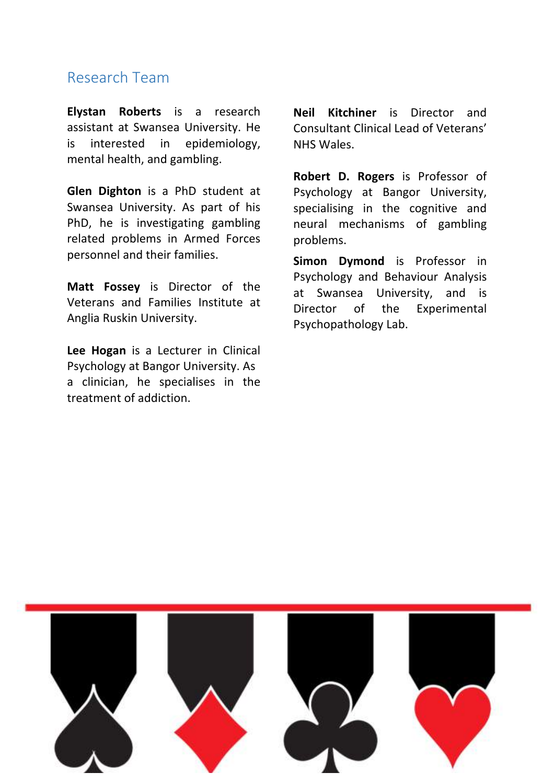### Research Team

**Elystan Roberts** is a research assistant at Swansea University. He is interested in epidemiology, mental health, and gambling.

**Glen Dighton** is a PhD student at Swansea University. As part of his PhD, he is investigating gambling related problems in Armed Forces personnel and their families.

**Matt Fossey** is Director of the Veterans and Families Institute at Anglia Ruskin University.

Lee Hogan is a Lecturer in Clinical Psychology at Bangor University. As a clinician, he specialises in the treatment of addiction.

**Neil Kitchiner** is Director and Consultant Clinical Lead of Veterans' NHS Wales.

**Robert D. Rogers** is Professor of Psychology at Bangor University, specialising in the cognitive and neural mechanisms of gambling problems.

**Simon Dymond** is Professor in Psychology and Behaviour Analysis at Swansea University, and is Director of the Experimental Psychopathology Lab.

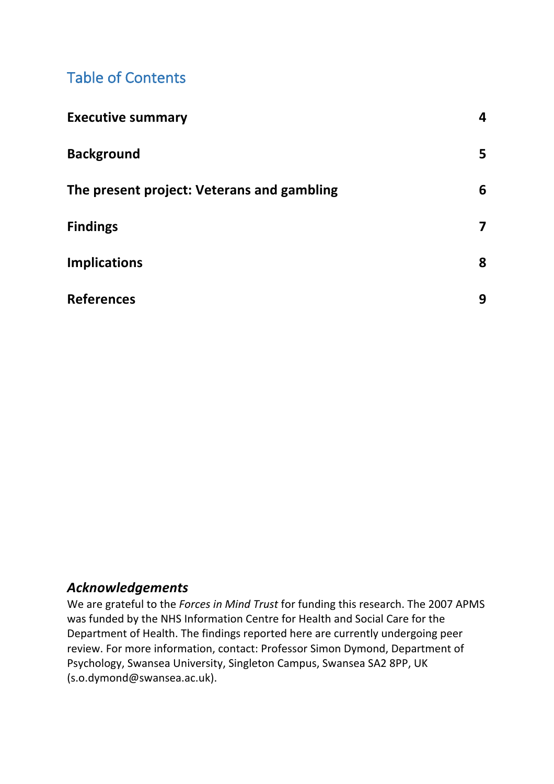## Table of Contents

| <b>Executive summary</b>                   | $\boldsymbol{4}$        |
|--------------------------------------------|-------------------------|
| <b>Background</b>                          | 5                       |
| The present project: Veterans and gambling | 6                       |
| <b>Findings</b>                            | $\overline{\mathbf{z}}$ |
| <b>Implications</b>                        | 8                       |
| <b>References</b>                          | 9                       |

### *Acknowledgements*

We are grateful to the *Forces in Mind Trust* for funding this research. The 2007 APMS was funded by the NHS Information Centre for Health and Social Care for the Department of Health. The findings reported here are currently undergoing peer review. For more information, contact: Professor Simon Dymond, Department of Psychology, Swansea University, Singleton Campus, Swansea SA2 8PP, UK (s.o.dymond@swansea.ac.uk).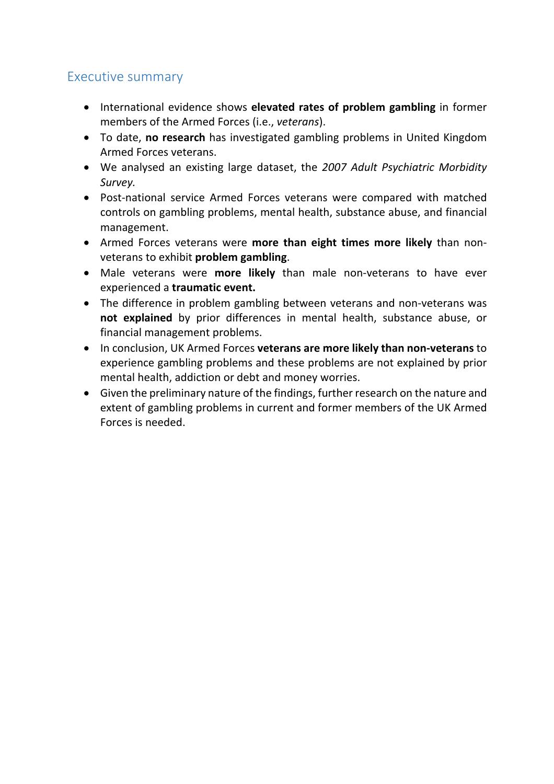### Executive summary

- International evidence shows **elevated rates of problem gambling** in former members of the Armed Forces (*i.e.*, *veterans*).
- To date, **no research** has investigated gambling problems in United Kingdom Armed Forces veterans.
- We analysed an existing large dataset, the 2007 Adult Psychiatric Morbidity *Survey.*
- Post-national service Armed Forces veterans were compared with matched controls on gambling problems, mental health, substance abuse, and financial management.
- Armed Forces veterans were **more than eight times more likely** than nonveterans to exhibit **problem** gambling.
- Male veterans were **more likely** than male non-veterans to have ever experienced a **traumatic event.**
- The difference in problem gambling between veterans and non-veterans was **not explained** by prior differences in mental health, substance abuse, or financial management problems.
- In conclusion, UK Armed Forces **veterans are more likely than non-veterans** to experience gambling problems and these problems are not explained by prior mental health, addiction or debt and money worries.
- $\bullet$  Given the preliminary nature of the findings, further research on the nature and extent of gambling problems in current and former members of the UK Armed Forces is needed.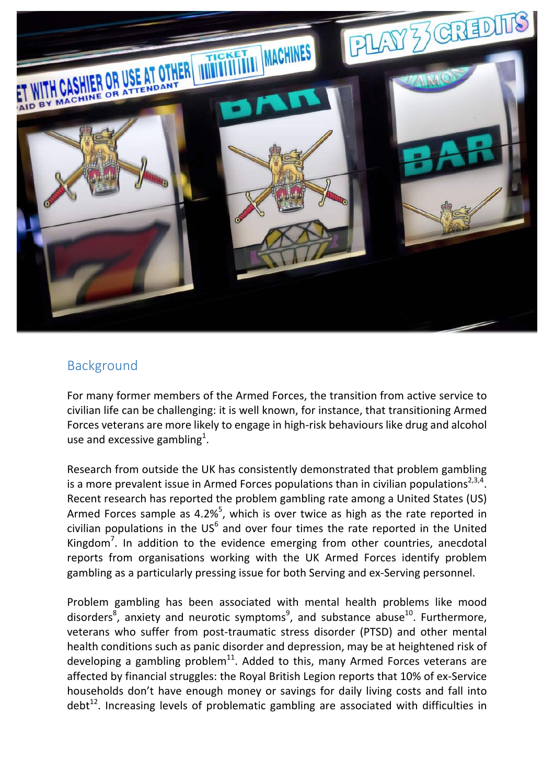

### Background

For many former members of the Armed Forces, the transition from active service to civilian life can be challenging: it is well known, for instance, that transitioning Armed Forces veterans are more likely to engage in high-risk behaviours like drug and alcohol use and excessive gambling<sup>1</sup>.

Research from outside the UK has consistently demonstrated that problem gambling is a more prevalent issue in Armed Forces populations than in civilian populations<sup>2,3,4</sup>. Recent research has reported the problem gambling rate among a United States (US) Armed Forces sample as 4.2%<sup>5</sup>, which is over twice as high as the rate reported in civilian populations in the  $US^6$  and over four times the rate reported in the United Kingdom<sup>7</sup>. In addition to the evidence emerging from other countries, anecdotal reports from organisations working with the UK Armed Forces identify problem gambling as a particularly pressing issue for both Serving and ex-Serving personnel.

Problem gambling has been associated with mental health problems like mood disorders<sup>8</sup>, anxiety and neurotic symptoms<sup>9</sup>, and substance abuse<sup>10</sup>. Furthermore, veterans who suffer from post-traumatic stress disorder (PTSD) and other mental health conditions such as panic disorder and depression, may be at heightened risk of developing a gambling problem<sup>11</sup>. Added to this, many Armed Forces veterans are affected by financial struggles: the Royal British Legion reports that 10% of ex-Service households don't have enough money or savings for daily living costs and fall into debt<sup>12</sup>. Increasing levels of problematic gambling are associated with difficulties in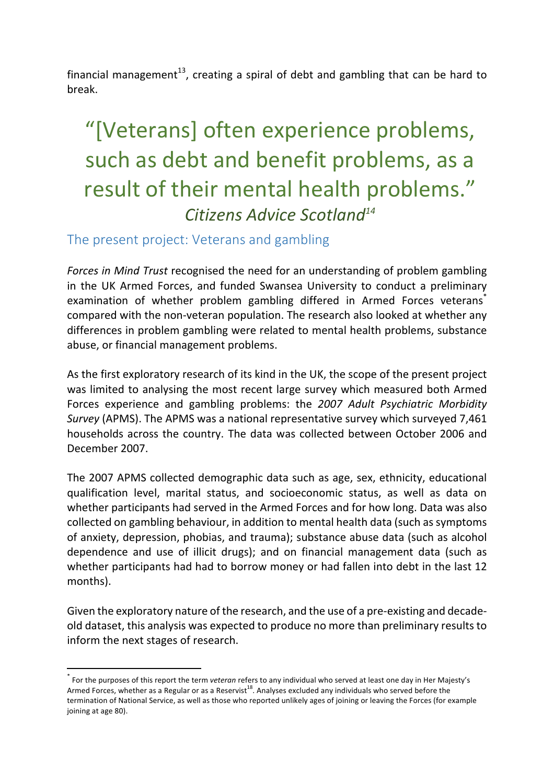financial management<sup>13</sup>, creating a spiral of debt and gambling that can be hard to break.

# "[Veterans] often experience problems, such as debt and benefit problems, as a result of their mental health problems." *Citizens Advice Scotland14*

#### The present project: Veterans and gambling

*Forces in Mind Trust* recognised the need for an understanding of problem gambling in the UK Armed Forces, and funded Swansea University to conduct a preliminary examination of whether problem gambling differed in Armed Forces veterans<sup>\*</sup> compared with the non-veteran population. The research also looked at whether any differences in problem gambling were related to mental health problems, substance abuse, or financial management problems.

As the first exploratory research of its kind in the UK, the scope of the present project was limited to analysing the most recent large survey which measured both Armed Forces experience and gambling problems: the 2007 Adult Psychiatric Morbidity *Survey* (APMS). The APMS was a national representative survey which surveyed 7,461 households across the country. The data was collected between October 2006 and December 2007.

The 2007 APMS collected demographic data such as age, sex, ethnicity, educational qualification level, marital status, and socioeconomic status, as well as data on whether participants had served in the Armed Forces and for how long. Data was also collected on gambling behaviour, in addition to mental health data (such as symptoms of anxiety, depression, phobias, and trauma); substance abuse data (such as alcohol dependence and use of illicit drugs); and on financial management data (such as whether participants had had to borrow money or had fallen into debt in the last 12 months). 

Given the exploratory nature of the research, and the use of a pre-existing and decadeold dataset, this analysis was expected to produce no more than preliminary results to inform the next stages of research.

For the purposes of this report the term *veteran* refers to any individual who served at least one day in Her Majesty's Armed Forces, whether as a Regular or as a Reservist<sup>18</sup>. Analyses excluded any individuals who served before the termination of National Service, as well as those who reported unlikely ages of joining or leaving the Forces (for example joining at age 80).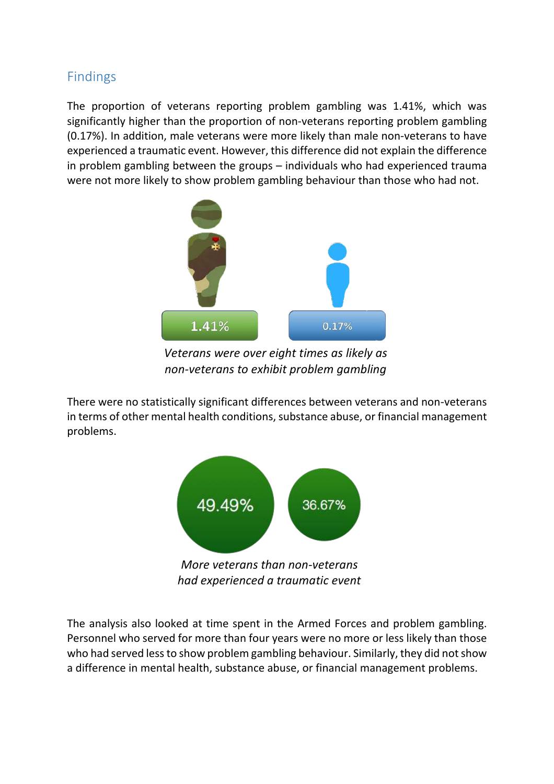### Findings

The proportion of veterans reporting problem gambling was 1.41%, which was significantly higher than the proportion of non-veterans reporting problem gambling (0.17%). In addition, male veterans were more likely than male non-veterans to have experienced a traumatic event. However, this difference did not explain the difference in problem gambling between the groups  $-$  individuals who had experienced trauma were not more likely to show problem gambling behaviour than those who had not.



*Veterans were over eight times as likely as non-veterans to exhibit problem gambling* 

There were no statistically significant differences between veterans and non-veterans in terms of other mental health conditions, substance abuse, or financial management problems. 



*had experienced a traumatic event*

The analysis also looked at time spent in the Armed Forces and problem gambling. Personnel who served for more than four years were no more or less likely than those who had served less to show problem gambling behaviour. Similarly, they did not show a difference in mental health, substance abuse, or financial management problems.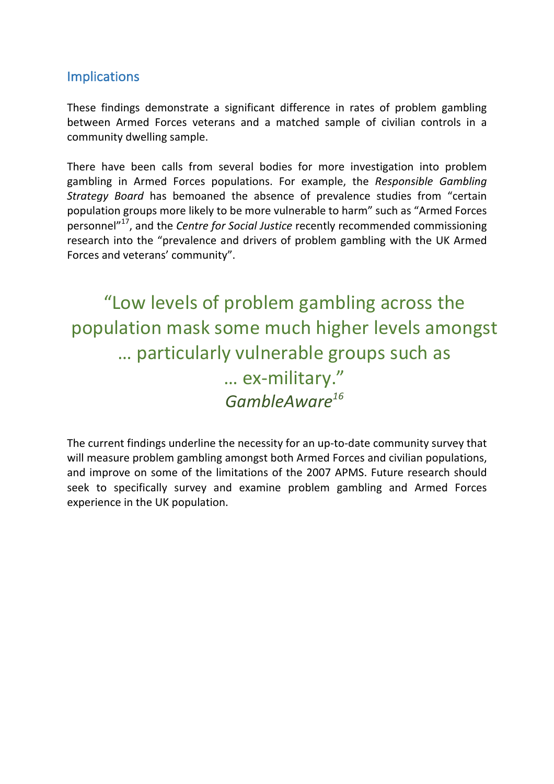### Implications

These findings demonstrate a significant difference in rates of problem gambling between Armed Forces veterans and a matched sample of civilian controls in a community dwelling sample.

There have been calls from several bodies for more investigation into problem gambling in Armed Forces populations. For example, the *Responsible Gambling Strategy Board* has bemoaned the absence of prevalence studies from "certain population groups more likely to be more vulnerable to harm" such as "Armed Forces personnel<sup>"17</sup>, and the *Centre for Social Justice* recently recommended commissioning research into the "prevalence and drivers of problem gambling with the UK Armed Forces and veterans' community".

"Low levels of problem gambling across the population mask some much higher levels amongst ... particularly vulnerable groups such as … ex-military." *GambleAware16*

The current findings underline the necessity for an up-to-date community survey that will measure problem gambling amongst both Armed Forces and civilian populations, and improve on some of the limitations of the 2007 APMS. Future research should seek to specifically survey and examine problem gambling and Armed Forces experience in the UK population.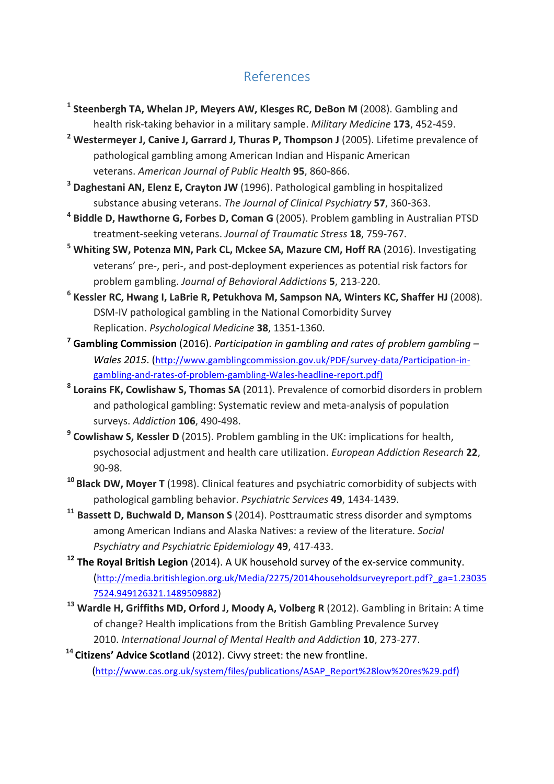### References

- <sup>1</sup> Steenbergh TA, Whelan JP, Meyers AW, Klesges RC, DeBon M (2008). Gambling and health risk-taking behavior in a military sample. *Military Medicine* 173, 452-459.
- <sup>2</sup> Westermeyer J, Canive J, Garrard J, Thuras P, Thompson J (2005). Lifetime prevalence of pathological gambling among American Indian and Hispanic American veterans. American Journal of Public Health 95, 860-866.
- <sup>3</sup> **Daghestani AN, Elenz E, Crayton JW** (1996). Pathological gambling in hospitalized substance abusing veterans. *The Journal of Clinical Psychiatry* 57, 360-363.
- <sup>4</sup> Biddle D, Hawthorne G, Forbes D, Coman G (2005). Problem gambling in Australian PTSD treatment-seeking veterans. *Journal of Traumatic Stress* 18, 759-767.
- <sup>5</sup> Whiting SW, Potenza MN, Park CL, Mckee SA, Mazure CM, Hoff RA (2016). Investigating veterans' pre-, peri-, and post-deployment experiences as potential risk factors for problem gambling. *Journal of Behavioral Addictions* **5**, 213-220.
- <sup>6</sup> Kessler RC, Hwang I, LaBrie R, Petukhova M, Sampson NA, Winters KC, Shaffer HJ (2008). DSM-IV pathological gambling in the National Comorbidity Survey Replication. *Psychological Medicine* **38**, 1351-1360.
- <sup>7</sup> Gambling Commission (2016). *Participation* in gambling and rates of problem gambling *Wales 2015.* (http://www.gamblingcommission.gov.uk/PDF/survey-data/Participation-ingambling-and-rates-of-problem-gambling-Wales-headline-report.pdf)
- <sup>8</sup> Lorains FK, Cowlishaw S, Thomas SA (2011). Prevalence of comorbid disorders in problem and pathological gambling: Systematic review and meta-analysis of population surveys. *Addiction* **106**, 490-498.
- <sup>9</sup> **Cowlishaw S, Kessler D** (2015). Problem gambling in the UK: implications for health, psychosocial adjustment and health care utilization. *European Addiction Research* 22, 90-98.
- <sup>10</sup> Black DW, Moyer T (1998). Clinical features and psychiatric comorbidity of subjects with pathological gambling behavior. *Psychiatric Services* **49**, 1434-1439.
- <sup>11</sup> Bassett D, Buchwald D, Manson S (2014). Posttraumatic stress disorder and symptoms among American Indians and Alaska Natives: a review of the literature. *Social Psychiatry and Psychiatric Epidemiology* **49**, 417-433.
- <sup>12</sup> The Royal British Legion (2014). A UK household survey of the ex-service community. (http://media.britishlegion.org.uk/Media/2275/2014householdsurveyreport.pdf?\_ga=1.23035 7524.949126321.1489509882)
- <sup>13</sup> Wardle H, Griffiths MD, Orford J, Moody A, Volberg R (2012). Gambling in Britain: A time of change? Health implications from the British Gambling Prevalence Survey 2010. *International Journal of Mental Health and Addiction* **10**, 273-277.
- <sup>14</sup> Citizens' Advice Scotland (2012). Civvy street: the new frontline. (http://www.cas.org.uk/system/files/publications/ASAP\_Report%28low%20res%29.pdf)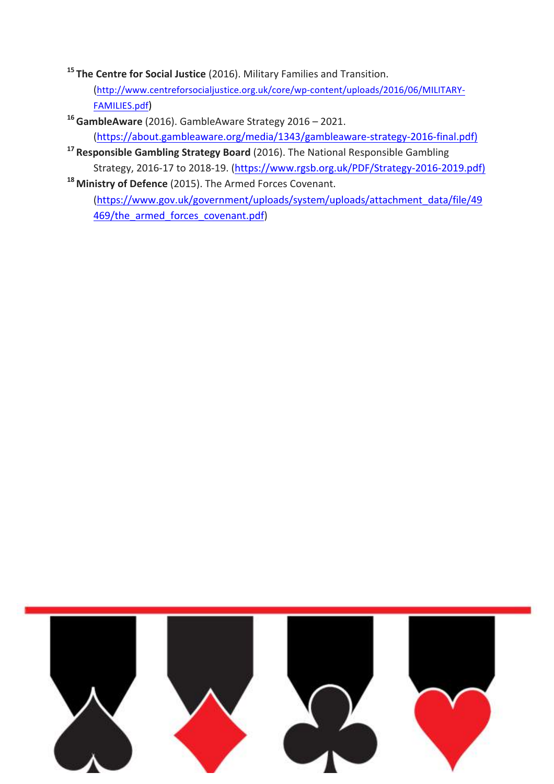<sup>15</sup> The Centre for Social Justice (2016). Military Families and Transition.

(http://www.centreforsocialjustice.org.uk/core/wp-content/uploads/2016/06/MILITARY-FAMILIES.pdf)

<sup>16</sup> GambleAware (2016). GambleAware Strategy 2016 – 2021. (https://about.gambleaware.org/media/1343/gambleaware-strategy-2016-final.pdf)

- <sup>17</sup> Responsible Gambling Strategy Board (2016). The National Responsible Gambling Strategy, 2016-17 to 2018-19. (https://www.rgsb.org.uk/PDF/Strategy-2016-2019.pdf)
- <sup>18</sup> Ministry of Defence (2015). The Armed Forces Covenant. (https://www.gov.uk/government/uploads/system/uploads/attachment\_data/file/49 469/the\_armed\_forces\_covenant.pdf)